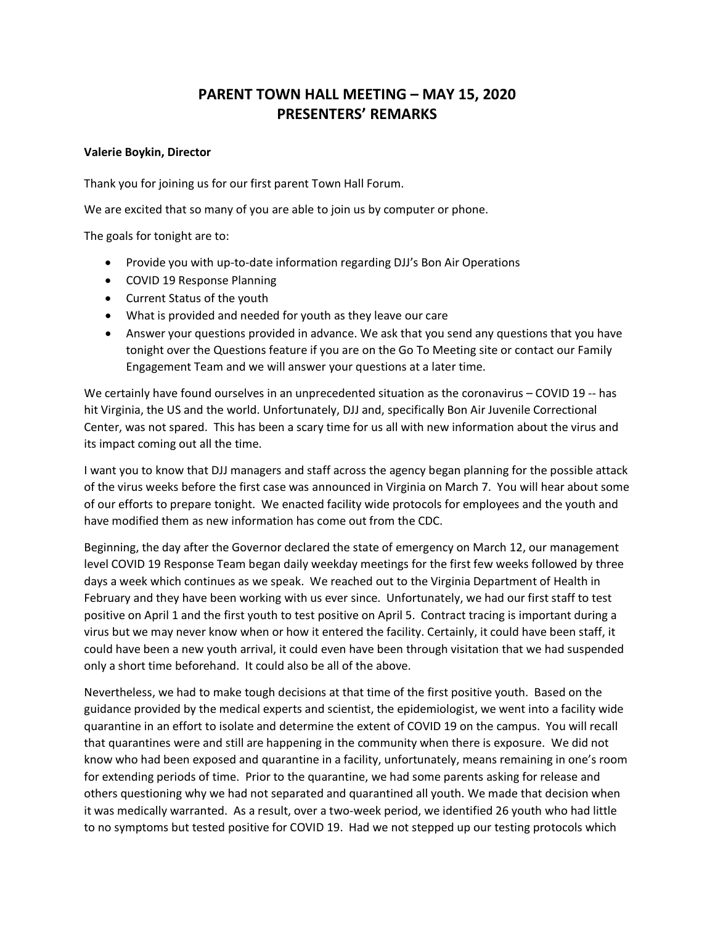# **PARENT TOWN HALL MEETING – MAY 15, 2020 PRESENTERS' REMARKS**

### **Valerie Boykin, Director**

Thank you for joining us for our first parent Town Hall Forum.

We are excited that so many of you are able to join us by computer or phone.

The goals for tonight are to:

- Provide you with up-to-date information regarding DJJ's Bon Air Operations
- COVID 19 Response Planning
- Current Status of the youth
- What is provided and needed for youth as they leave our care
- Answer your questions provided in advance. We ask that you send any questions that you have tonight over the Questions feature if you are on the Go To Meeting site or contact our Family Engagement Team and we will answer your questions at a later time.

We certainly have found ourselves in an unprecedented situation as the coronavirus – COVID 19 -- has hit Virginia, the US and the world. Unfortunately, DJJ and, specifically Bon Air Juvenile Correctional Center, was not spared. This has been a scary time for us all with new information about the virus and its impact coming out all the time.

I want you to know that DJJ managers and staff across the agency began planning for the possible attack of the virus weeks before the first case was announced in Virginia on March 7. You will hear about some of our efforts to prepare tonight. We enacted facility wide protocols for employees and the youth and have modified them as new information has come out from the CDC.

Beginning, the day after the Governor declared the state of emergency on March 12, our management level COVID 19 Response Team began daily weekday meetings for the first few weeks followed by three days a week which continues as we speak. We reached out to the Virginia Department of Health in February and they have been working with us ever since. Unfortunately, we had our first staff to test positive on April 1 and the first youth to test positive on April 5. Contract tracing is important during a virus but we may never know when or how it entered the facility. Certainly, it could have been staff, it could have been a new youth arrival, it could even have been through visitation that we had suspended only a short time beforehand. It could also be all of the above.

Nevertheless, we had to make tough decisions at that time of the first positive youth. Based on the guidance provided by the medical experts and scientist, the epidemiologist, we went into a facility wide quarantine in an effort to isolate and determine the extent of COVID 19 on the campus. You will recall that quarantines were and still are happening in the community when there is exposure. We did not know who had been exposed and quarantine in a facility, unfortunately, means remaining in one's room for extending periods of time. Prior to the quarantine, we had some parents asking for release and others questioning why we had not separated and quarantined all youth. We made that decision when it was medically warranted. As a result, over a two-week period, we identified 26 youth who had little to no symptoms but tested positive for COVID 19. Had we not stepped up our testing protocols which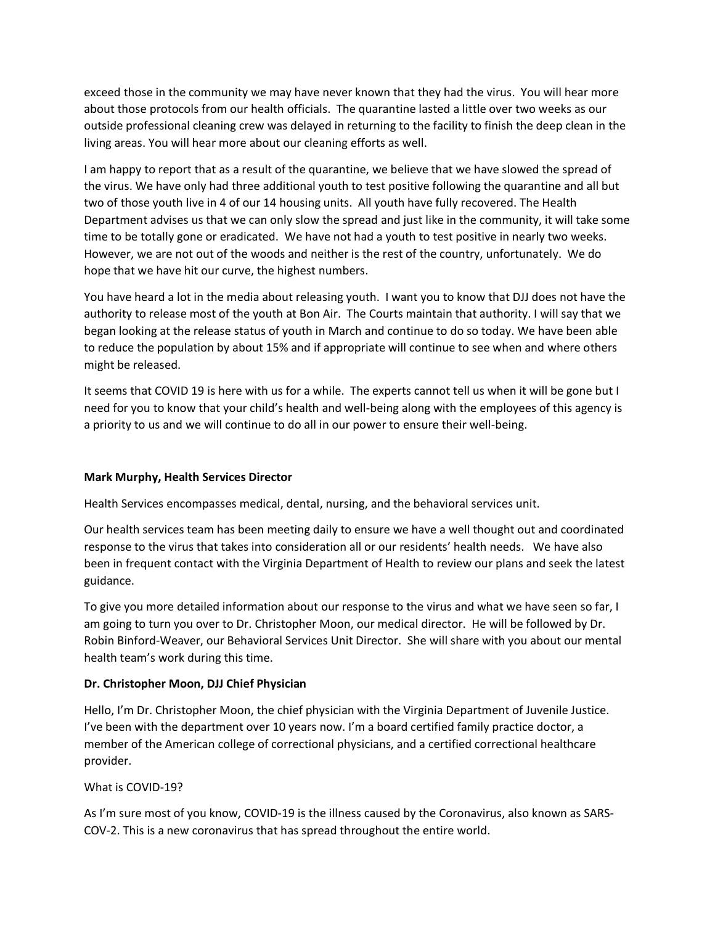exceed those in the community we may have never known that they had the virus. You will hear more about those protocols from our health officials. The quarantine lasted a little over two weeks as our outside professional cleaning crew was delayed in returning to the facility to finish the deep clean in the living areas. You will hear more about our cleaning efforts as well.

I am happy to report that as a result of the quarantine, we believe that we have slowed the spread of the virus. We have only had three additional youth to test positive following the quarantine and all but two of those youth live in 4 of our 14 housing units. All youth have fully recovered. The Health Department advises us that we can only slow the spread and just like in the community, it will take some time to be totally gone or eradicated. We have not had a youth to test positive in nearly two weeks. However, we are not out of the woods and neither is the rest of the country, unfortunately. We do hope that we have hit our curve, the highest numbers.

You have heard a lot in the media about releasing youth. I want you to know that DJJ does not have the authority to release most of the youth at Bon Air. The Courts maintain that authority. I will say that we began looking at the release status of youth in March and continue to do so today. We have been able to reduce the population by about 15% and if appropriate will continue to see when and where others might be released.

It seems that COVID 19 is here with us for a while. The experts cannot tell us when it will be gone but I need for you to know that your child's health and well-being along with the employees of this agency is a priority to us and we will continue to do all in our power to ensure their well-being.

## **Mark Murphy, Health Services Director**

Health Services encompasses medical, dental, nursing, and the behavioral services unit.

Our health services team has been meeting daily to ensure we have a well thought out and coordinated response to the virus that takes into consideration all or our residents' health needs. We have also been in frequent contact with the Virginia Department of Health to review our plans and seek the latest guidance.

To give you more detailed information about our response to the virus and what we have seen so far, I am going to turn you over to Dr. Christopher Moon, our medical director. He will be followed by Dr. Robin Binford-Weaver, our Behavioral Services Unit Director. She will share with you about our mental health team's work during this time.

## **Dr. Christopher Moon, DJJ Chief Physician**

Hello, I'm Dr. Christopher Moon, the chief physician with the Virginia Department of Juvenile Justice. I've been with the department over 10 years now. I'm a board certified family practice doctor, a member of the American college of correctional physicians, and a certified correctional healthcare provider.

## What is COVID-19?

As I'm sure most of you know, COVID-19 is the illness caused by the Coronavirus, also known as SARS-COV-2. This is a new coronavirus that has spread throughout the entire world.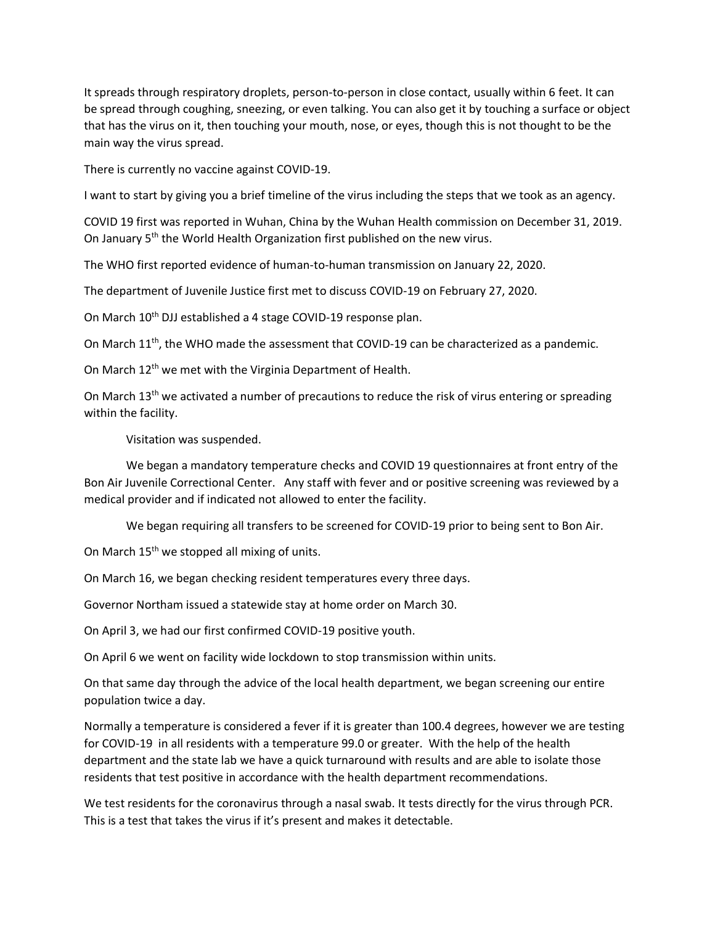It spreads through respiratory droplets, person-to-person in close contact, usually within 6 feet. It can be spread through coughing, sneezing, or even talking. You can also get it by touching a surface or object that has the virus on it, then touching your mouth, nose, or eyes, though this is not thought to be the main way the virus spread.

There is currently no vaccine against COVID-19.

I want to start by giving you a brief timeline of the virus including the steps that we took as an agency.

COVID 19 first was reported in Wuhan, China by the Wuhan Health commission on December 31, 2019. On January 5<sup>th</sup> the World Health Organization first published on the new virus.

The WHO first reported evidence of human-to-human transmission on January 22, 2020.

The department of Juvenile Justice first met to discuss COVID-19 on February 27, 2020.

On March 10<sup>th</sup> DJJ established a 4 stage COVID-19 response plan.

On March  $11<sup>th</sup>$ , the WHO made the assessment that COVID-19 can be characterized as a pandemic.

On March 12<sup>th</sup> we met with the Virginia Department of Health.

On March  $13<sup>th</sup>$  we activated a number of precautions to reduce the risk of virus entering or spreading within the facility.

Visitation was suspended.

We began a mandatory temperature checks and COVID 19 questionnaires at front entry of the Bon Air Juvenile Correctional Center. Any staff with fever and or positive screening was reviewed by a medical provider and if indicated not allowed to enter the facility.

We began requiring all transfers to be screened for COVID-19 prior to being sent to Bon Air.

On March 15<sup>th</sup> we stopped all mixing of units.

On March 16, we began checking resident temperatures every three days.

Governor Northam issued a statewide stay at home order on March 30.

On April 3, we had our first confirmed COVID-19 positive youth.

On April 6 we went on facility wide lockdown to stop transmission within units.

On that same day through the advice of the local health department, we began screening our entire population twice a day.

Normally a temperature is considered a fever if it is greater than 100.4 degrees, however we are testing for COVID-19 in all residents with a temperature 99.0 or greater. With the help of the health department and the state lab we have a quick turnaround with results and are able to isolate those residents that test positive in accordance with the health department recommendations.

We test residents for the coronavirus through a nasal swab. It tests directly for the virus through PCR. This is a test that takes the virus if it's present and makes it detectable.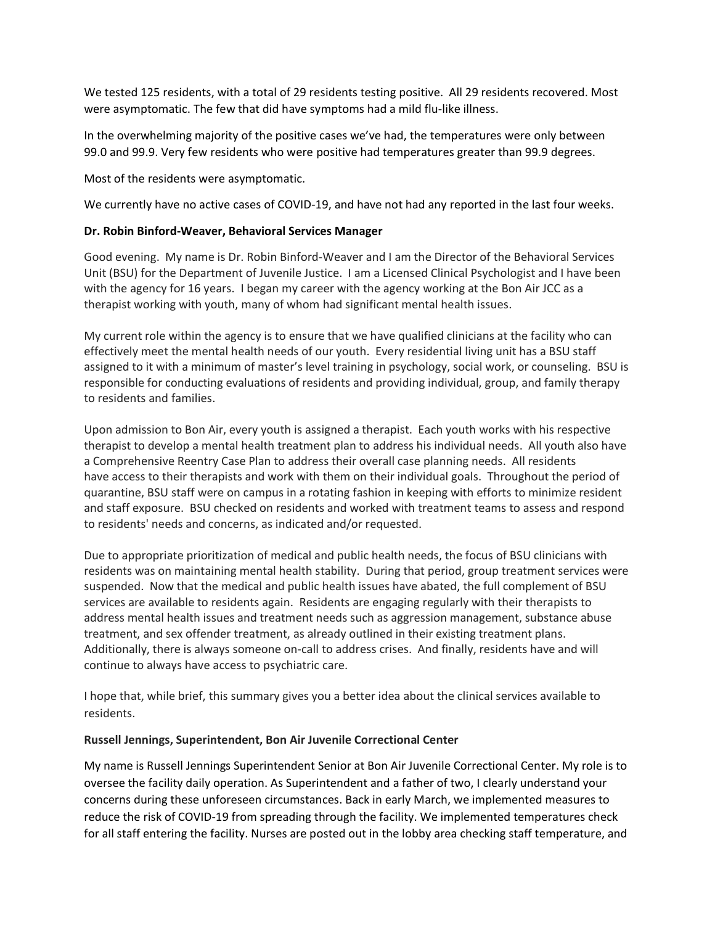We tested 125 residents, with a total of 29 residents testing positive. All 29 residents recovered. Most were asymptomatic. The few that did have symptoms had a mild flu-like illness.

In the overwhelming majority of the positive cases we've had, the temperatures were only between 99.0 and 99.9. Very few residents who were positive had temperatures greater than 99.9 degrees.

Most of the residents were asymptomatic.

We currently have no active cases of COVID-19, and have not had any reported in the last four weeks.

### **Dr. Robin Binford-Weaver, Behavioral Services Manager**

Good evening. My name is Dr. Robin Binford-Weaver and I am the Director of the Behavioral Services Unit (BSU) for the Department of Juvenile Justice. I am a Licensed Clinical Psychologist and I have been with the agency for 16 years. I began my career with the agency working at the Bon Air JCC as a therapist working with youth, many of whom had significant mental health issues.

My current role within the agency is to ensure that we have qualified clinicians at the facility who can effectively meet the mental health needs of our youth. Every residential living unit has a BSU staff assigned to it with a minimum of master's level training in psychology, social work, or counseling. BSU is responsible for conducting evaluations of residents and providing individual, group, and family therapy to residents and families.

Upon admission to Bon Air, every youth is assigned a therapist. Each youth works with his respective therapist to develop a mental health treatment plan to address his individual needs. All youth also have a Comprehensive Reentry Case Plan to address their overall case planning needs. All residents have access to their therapists and work with them on their individual goals. Throughout the period of quarantine, BSU staff were on campus in a rotating fashion in keeping with efforts to minimize resident and staff exposure. BSU checked on residents and worked with treatment teams to assess and respond to residents' needs and concerns, as indicated and/or requested.

Due to appropriate prioritization of medical and public health needs, the focus of BSU clinicians with residents was on maintaining mental health stability. During that period, group treatment services were suspended. Now that the medical and public health issues have abated, the full complement of BSU services are available to residents again. Residents are engaging regularly with their therapists to address mental health issues and treatment needs such as aggression management, substance abuse treatment, and sex offender treatment, as already outlined in their existing treatment plans. Additionally, there is always someone on-call to address crises. And finally, residents have and will continue to always have access to psychiatric care.

I hope that, while brief, this summary gives you a better idea about the clinical services available to residents.

#### **Russell Jennings, Superintendent, Bon Air Juvenile Correctional Center**

My name is Russell Jennings Superintendent Senior at Bon Air Juvenile Correctional Center. My role is to oversee the facility daily operation. As Superintendent and a father of two, I clearly understand your concerns during these unforeseen circumstances. Back in early March, we implemented measures to reduce the risk of COVID-19 from spreading through the facility. We implemented temperatures check for all staff entering the facility. Nurses are posted out in the lobby area checking staff temperature, and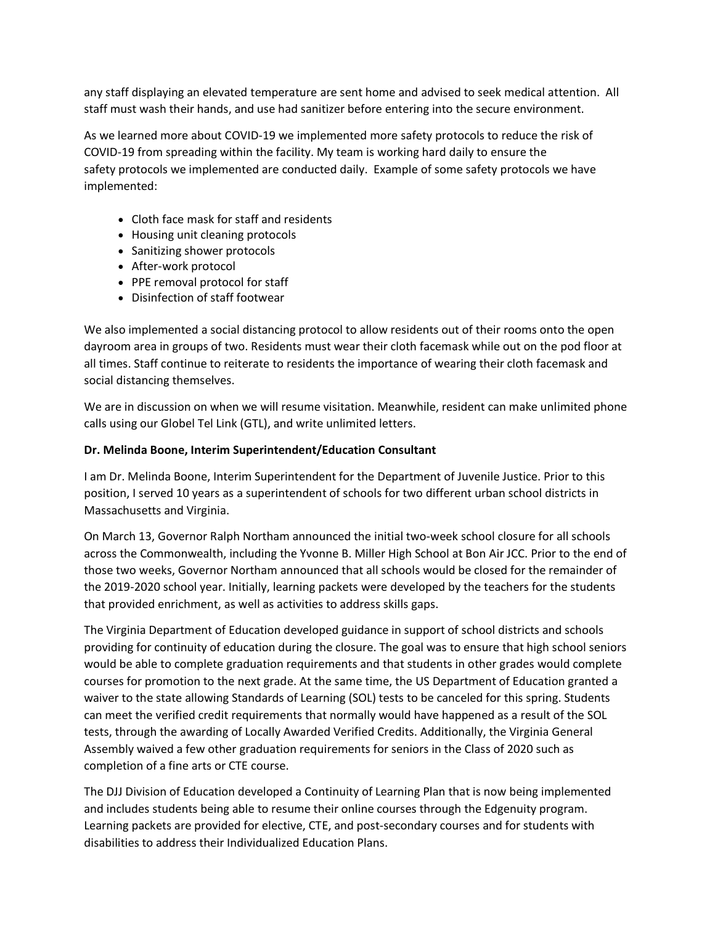any staff displaying an elevated temperature are sent home and advised to seek medical attention. All staff must wash their hands, and use had sanitizer before entering into the secure environment.

As we learned more about COVID-19 we implemented more safety protocols to reduce the risk of COVID-19 from spreading within the facility. My team is working hard daily to ensure the safety protocols we implemented are conducted daily. Example of some safety protocols we have implemented:

- Cloth face mask for staff and residents
- Housing unit cleaning protocols
- Sanitizing shower protocols
- After-work protocol
- PPE removal protocol for staff
- Disinfection of staff footwear

We also implemented a social distancing protocol to allow residents out of their rooms onto the open dayroom area in groups of two. Residents must wear their cloth facemask while out on the pod floor at all times. Staff continue to reiterate to residents the importance of wearing their cloth facemask and social distancing themselves.

We are in discussion on when we will resume visitation. Meanwhile, resident can make unlimited phone calls using our Globel Tel Link (GTL), and write unlimited letters.

## **Dr. Melinda Boone, Interim Superintendent/Education Consultant**

I am Dr. Melinda Boone, Interim Superintendent for the Department of Juvenile Justice. Prior to this position, I served 10 years as a superintendent of schools for two different urban school districts in Massachusetts and Virginia.

On March 13, Governor Ralph Northam announced the initial two-week school closure for all schools across the Commonwealth, including the Yvonne B. Miller High School at Bon Air JCC. Prior to the end of those two weeks, Governor Northam announced that all schools would be closed for the remainder of the 2019-2020 school year. Initially, learning packets were developed by the teachers for the students that provided enrichment, as well as activities to address skills gaps.

The Virginia Department of Education developed guidance in support of school districts and schools providing for continuity of education during the closure. The goal was to ensure that high school seniors would be able to complete graduation requirements and that students in other grades would complete courses for promotion to the next grade. At the same time, the US Department of Education granted a waiver to the state allowing Standards of Learning (SOL) tests to be canceled for this spring. Students can meet the verified credit requirements that normally would have happened as a result of the SOL tests, through the awarding of Locally Awarded Verified Credits. Additionally, the Virginia General Assembly waived a few other graduation requirements for seniors in the Class of 2020 such as completion of a fine arts or CTE course.

The DJJ Division of Education developed a Continuity of Learning Plan that is now being implemented and includes students being able to resume their online courses through the Edgenuity program. Learning packets are provided for elective, CTE, and post-secondary courses and for students with disabilities to address their Individualized Education Plans.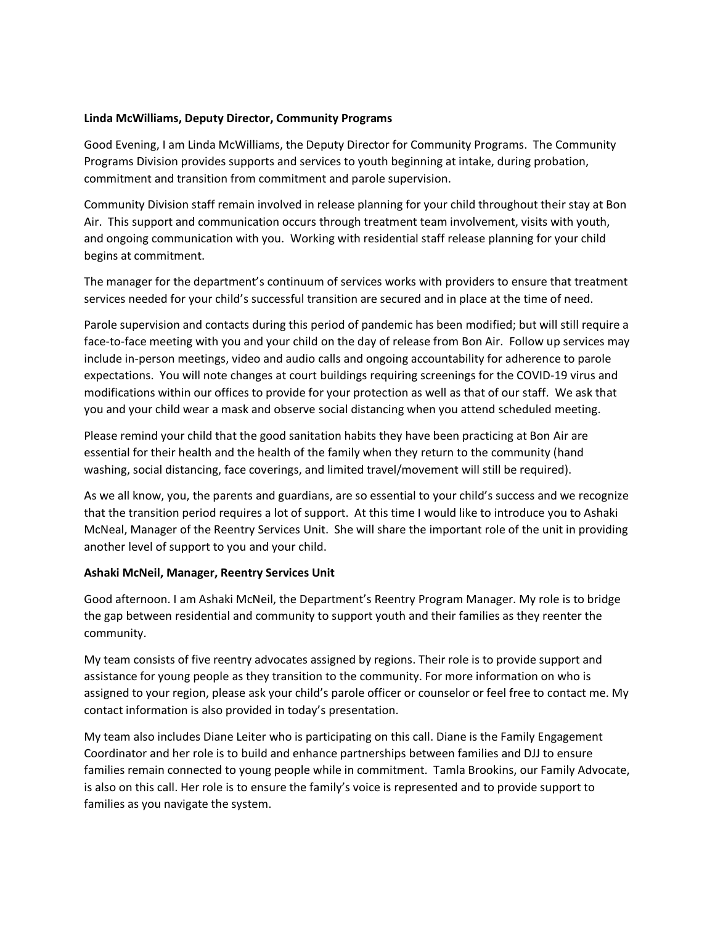## **Linda McWilliams, Deputy Director, Community Programs**

Good Evening, I am Linda McWilliams, the Deputy Director for Community Programs. The Community Programs Division provides supports and services to youth beginning at intake, during probation, commitment and transition from commitment and parole supervision.

Community Division staff remain involved in release planning for your child throughout their stay at Bon Air. This support and communication occurs through treatment team involvement, visits with youth, and ongoing communication with you. Working with residential staff release planning for your child begins at commitment.

The manager for the department's continuum of services works with providers to ensure that treatment services needed for your child's successful transition are secured and in place at the time of need.

Parole supervision and contacts during this period of pandemic has been modified; but will still require a face-to-face meeting with you and your child on the day of release from Bon Air. Follow up services may include in-person meetings, video and audio calls and ongoing accountability for adherence to parole expectations. You will note changes at court buildings requiring screenings for the COVID-19 virus and modifications within our offices to provide for your protection as well as that of our staff. We ask that you and your child wear a mask and observe social distancing when you attend scheduled meeting.

Please remind your child that the good sanitation habits they have been practicing at Bon Air are essential for their health and the health of the family when they return to the community (hand washing, social distancing, face coverings, and limited travel/movement will still be required).

As we all know, you, the parents and guardians, are so essential to your child's success and we recognize that the transition period requires a lot of support. At this time I would like to introduce you to Ashaki McNeal, Manager of the Reentry Services Unit. She will share the important role of the unit in providing another level of support to you and your child.

## **Ashaki McNeil, Manager, Reentry Services Unit**

Good afternoon. I am Ashaki McNeil, the Department's Reentry Program Manager. My role is to bridge the gap between residential and community to support youth and their families as they reenter the community.

My team consists of five reentry advocates assigned by regions. Their role is to provide support and assistance for young people as they transition to the community. For more information on who is assigned to your region, please ask your child's parole officer or counselor or feel free to contact me. My contact information is also provided in today's presentation.

My team also includes Diane Leiter who is participating on this call. Diane is the Family Engagement Coordinator and her role is to build and enhance partnerships between families and DJJ to ensure families remain connected to young people while in commitment. Tamla Brookins, our Family Advocate, is also on this call. Her role is to ensure the family's voice is represented and to provide support to families as you navigate the system.